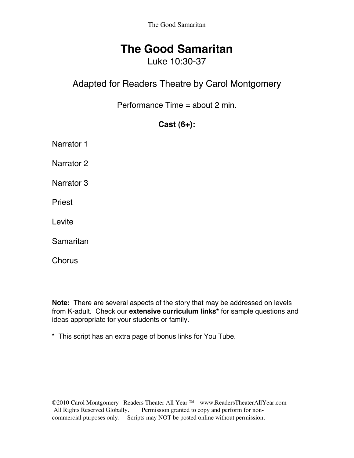The Good Samaritan

## **The Good Samaritan**

## Luke 10:30-37

## Adapted for Readers Theatre by Carol Montgomery

Performance Time = about 2 min.

#### **Cast (6+):**

Narrator 1

Narrator 2

Narrator 3

Priest

Levite

**Samaritan** 

**Chorus** 

**Note:** There are several aspects of the story that may be addressed on levels from K-adult. Check our **extensive curriculum links\*** for sample questions and ideas appropriate for your students or family.

\* This script has an extra page of bonus links for You Tube.

©2010 Carol Montgomery Readers Theater All Year ™ www.ReadersTheaterAllYear.com<br>All Rights Reserved Globally. Permission granted to copy and perform for non-Permission granted to copy and perform for noncommercial purposes only. Scripts may NOT be posted online without permission.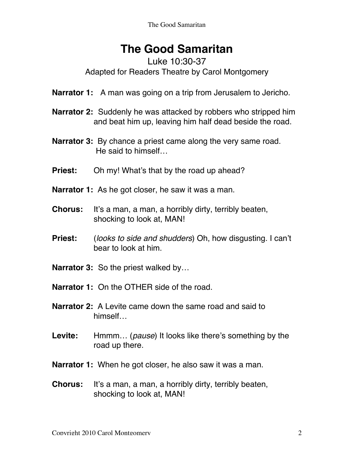# **The Good Samaritan**

#### Luke 10:30-37 Adapted for Readers Theatre by Carol Montgomery

- **Narrator 1:** A man was going on a trip from Jerusalem to Jericho.
- **Narrator 2:** Suddenly he was attacked by robbers who stripped him and beat him up, leaving him half dead beside the road.
- **Narrator 3:** By chance a priest came along the very same road. He said to himself…
- **Priest:** Oh my! What's that by the road up ahead?
- **Narrator 1:** As he got closer, he saw it was a man.
- **Chorus:** It's a man, a man, a horribly dirty, terribly beaten, shocking to look at, MAN!
- **Priest:** (*looks to side and shudders*) Oh, how disgusting. I can't bear to look at him.
- **Narrator 3:** So the priest walked by…
- **Narrator 1:** On the OTHER side of the road.
- **Narrator 2:** A Levite came down the same road and said to himself…
- **Levite:** Hmmm… (*pause*) It looks like there's something by the road up there.
- **Narrator 1:** When he got closer, he also saw it was a man.
- **Chorus:** It's a man, a man, a horribly dirty, terribly beaten, shocking to look at, MAN!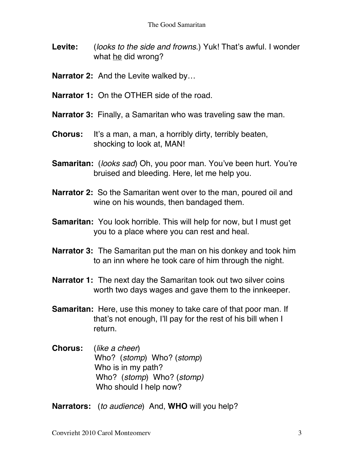- **Levite:** (*looks to the side and frowns*.) Yuk! That's awful. I wonder what he did wrong?
- **Narrator 2:** And the Levite walked by…
- **Narrator 1:** On the OTHER side of the road.
- **Narrator 3:** Finally, a Samaritan who was traveling saw the man.
- **Chorus:** It's a man, a man, a horribly dirty, terribly beaten, shocking to look at, MAN!
- **Samaritan:** (*looks sad*) Oh, you poor man. You've been hurt. You're bruised and bleeding. Here, let me help you.
- **Narrator 2:** So the Samaritan went over to the man, poured oil and wine on his wounds, then bandaged them.
- **Samaritan:** You look horrible. This will help for now, but I must get you to a place where you can rest and heal.
- **Narrator 3:** The Samaritan put the man on his donkey and took him to an inn where he took care of him through the night.
- **Narrator 1:** The next day the Samaritan took out two silver coins worth two days wages and gave them to the innkeeper.
- **Samaritan:** Here, use this money to take care of that poor man. If that's not enough, I'll pay for the rest of his bill when I return.
- **Chorus:** (*like a cheer*) Who? (*stomp*) Who? (*stomp*) Who is in my path? Who? (*stomp*) Who? (*stomp)* Who should I help now?

**Narrators:** (*to audience*) And, **WHO** will you help?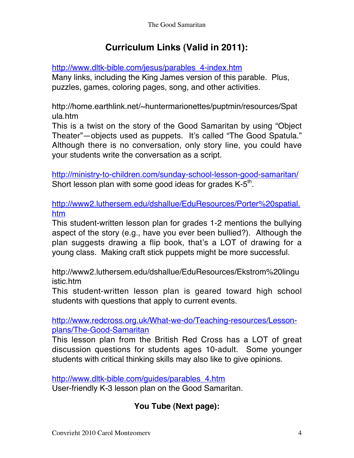## **Curriculum Links (Valid in 2011):**

http://www.dltk-bible.com/jesus/parables\_4-index.htm

Many links, including the King James version of this parable. Plus, puzzles, games, coloring pages, song, and other activities.

http://home.earthlink.net/~huntermarionettes/puptmin/resources/Spat ula.htm

This is a twist on the story of the Good Samaritan by using "Object Theater"—objects used as puppets. It's called "The Good Spatula." Although there is no conversation, only story line, you could have your students write the conversation as a script.

http://ministry-to-children.com/sunday-school-lesson-good-samaritan/ Short lesson plan with some good ideas for grades  $K-5<sup>th</sup>$ .

http://www2.luthersem.edu/dshallue/EduResources/Porter%20spatial. htm

This student-written lesson plan for grades 1-2 mentions the bullying aspect of the story (e.g., have you ever been bullied?). Although the plan suggests drawing a flip book, that's a LOT of drawing for a young class. Making craft stick puppets might be more successful.

http://www2.luthersem.edu/dshallue/EduResources/Ekstrom%20lingu istic.htm

This student-written lesson plan is geared toward high school students with questions that apply to current events.

http://www.redcross.org.uk/What-we-do/Teaching-resources/Lessonplans/The-Good-Samaritan

This lesson plan from the British Red Cross has a LOT of great discussion questions for students ages 10-adult. Some younger students with critical thinking skills may also like to give opinions.

http://www.dltk-bible.com/guides/parables\_4.htm

User-friendly K-3 lesson plan on the Good Samaritan.

## **You Tube (Next page):**